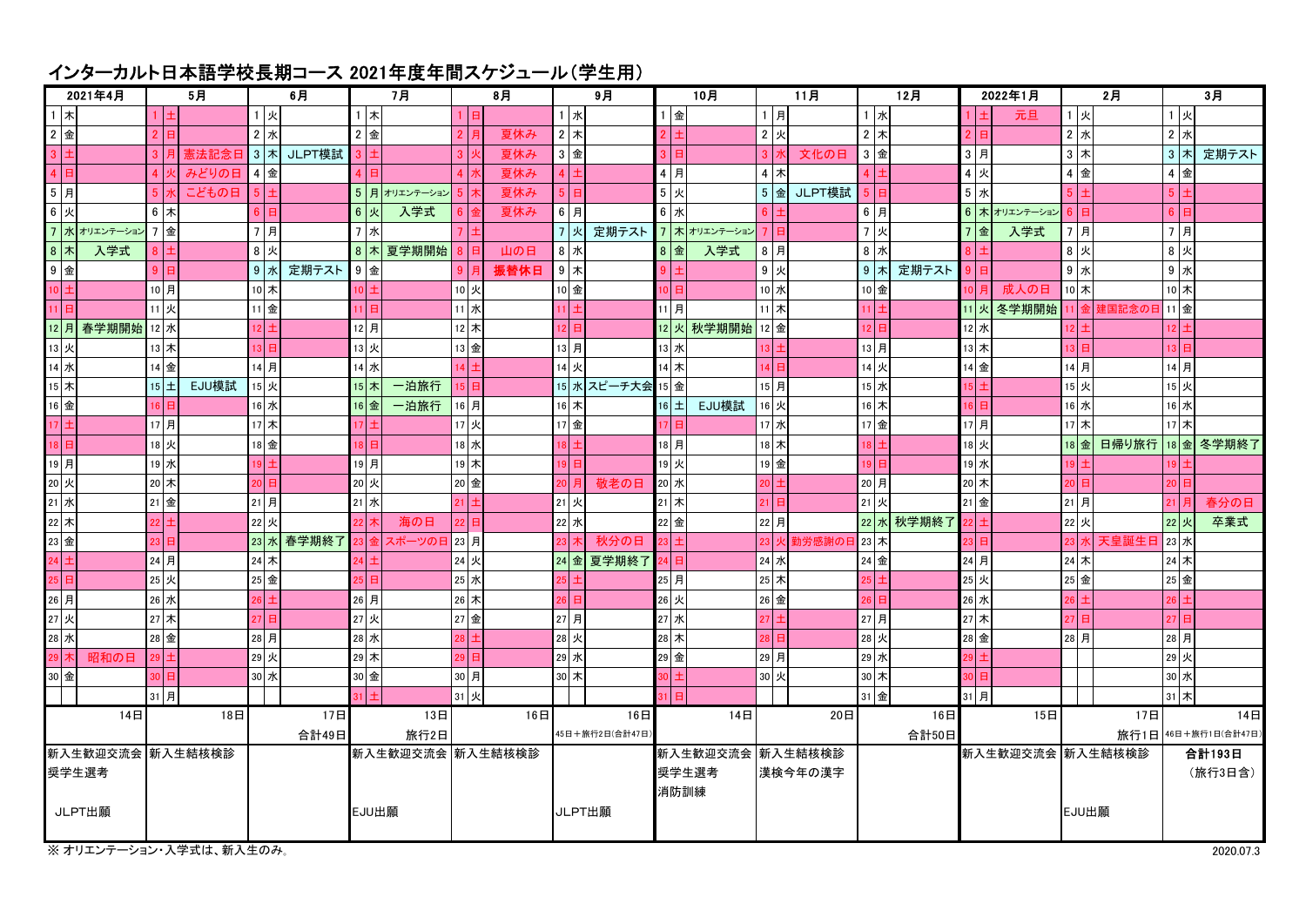## インターカルト日本語学校長期コース 2021年度年間スケジュール(学生用)

| 2021年4月              |  | 5月                |          | 6月    |                 | 7月               |           | 8月           |                   | 9月     |                     |                  | 10月  |          |                 | 11月            |  |         |       | 12月            |                  | 2022年1月             | 2月            |                     |                  |                 | 3月 |         |
|----------------------|--|-------------------|----------|-------|-----------------|------------------|-----------|--------------|-------------------|--------|---------------------|------------------|------|----------|-----------------|----------------|--|---------|-------|----------------|------------------|---------------------|---------------|---------------------|------------------|-----------------|----|---------|
| 1 木                  |  |                   |          |       | 1 火             |                  | $1$ $\pi$ |              |                   |        | 1 水                 |                  |      | $1$ 金    |                 | $1$ 月          |  |         |       | 1 水            |                  |                     | 元旦            | 1 火                 |                  | 1 火             |    |         |
| 2 金                  |  |                   | 2 E      |       | $2 \times$      |                  | 2 金       |              | $\overline{2}$    | 夏休み    | $2$ 木               |                  |      |          |                 | $2$ 火          |  |         |       | $2 \times$     |                  | E                   |               | $2 \vert x$         |                  | $2 \times$      |    |         |
| $3 \pm$              |  |                   | 3 月      | 憲法記念日 | $3 \times$      | JLPT模試           |           |              | 3 <sup>1</sup>    | 夏休み    | 3 金                 |                  |      | 3 日      |                 | 3 <sub>z</sub> |  | 文化の日    |       | 3 金            |                  | $3$ 月               |               | 3木                  |                  | $3 \times$      |    | 定期テスト   |
| $4$ $\Box$           |  |                   | 4 火      | みどりの日 | 4 金             |                  |           |              | 4 <sup>1</sup>    | 夏休み    | 4                   |                  |      | 4 月      |                 | $4$ $\pi$      |  |         |       | 4              |                  | 4 火                 |               | 4                   |                  | 4 金             |    |         |
| $5$ $\overline{f}$   |  |                   |          | こどもの日 | 5 <sup>1</sup>  |                  |           | 5 月オリエンテーション | 5 <sup>1</sup>    | 夏休み    | 5  <sub>H</sub>     |                  |      | 5 火      |                 | $5$ 金          |  | JLPT模試  | 5 I   |                |                  | 5<br>水              |               |                     |                  | 5 <sup>1</sup>  |    |         |
| 6 火                  |  |                   | 6 木      |       |                 |                  | $6$ 火     | 入学式          |                   | 夏休み    | 6 A                 |                  |      | 6 水      |                 | 6              |  |         |       | 6 A            |                  |                     | 6 木 オリエンテーション |                     |                  | 6 <sup>1</sup>  |    |         |
|                      |  | 7 水 オリエンテーション 7 金 |          |       | 7月              |                  | 7 水       |              |                   |        | $\overline{7}$<br>火 | 定期テスト            |      |          | 7 木 オリエンテーション   | $\overline{7}$ |  |         |       | 7 火            |                  | $\overline{7}$<br>金 | 入学式           | 7月                  |                  | 7月              |    |         |
| 8 $\star$            |  | 入学式               |          |       | 8 火             |                  | 8 $\pi$   | 夏学期開始        |                   | 山の日    | 8 水                 |                  |      | 8 金      | 入学式             | 8月             |  |         |       | 8 水            |                  |                     |               | $8$ 火               |                  | 8<br>业          |    |         |
| 9金                   |  |                   | 9E       |       | 9 水             | 定期テスト            | $9$ 金     |              | 9                 | 振替休日   | $9$ $\pi$           |                  |      |          |                 | 9 火            |  |         |       | $9$ $\pi$      | 定期テスト            |                     |               | $9$ $\n $           |                  | $9$ 水           |    |         |
| $10 \pm$             |  |                   | 10月      |       | 10 木            |                  |           |              | 10 火              |        | 10 金                |                  | 10 I |          |                 | 10 水           |  |         |       | 10 金           |                  |                     | 成人の日          | $10$ 木              |                  | $10$ $\star$    |    |         |
| 11 日                 |  |                   | 11 火     |       | 11 金            |                  |           |              | $\overline{11}$ 水 |        | 11 土                |                  |      | 11月      |                 | $11$ 木         |  |         |       | $11 \vert \pm$ |                  |                     | 火冬学期開始        | 11 ا 1              | 建国記念のE           | 11 金            |    |         |
|                      |  | 12 月 春学期開始 12 水   |          |       | 12   ±          |                  | 12月       |              | 12 木              |        | 12 日                |                  |      |          | 12 火 秋学期開始 12 金 |                |  |         |       | 12 日           |                  | 12 水                |               |                     |                  | 12 <sup>1</sup> |    |         |
| 13 火                 |  |                   | 13 木     |       | 13              |                  | 13 火      |              | 13 金              |        | 13月                 |                  |      | 13 水     |                 | $13 \pm$       |  |         |       | $13$ 月         |                  | 13 木                |               |                     |                  | 13 <sup>°</sup> |    |         |
| 14 水                 |  |                   | 14 金     |       | 14月             |                  | 14 水      |              | $14 \pm$          |        | 14 火                |                  |      | 14 木     |                 | 14 日           |  |         |       | 14 火           |                  | 14 金                |               | 14月                 |                  | 14月             |    |         |
| 15 木                 |  |                   | $15 \pm$ | EJU模試 | 15 火            |                  | 15 木      | 一泊旅行         | A.                |        |                     | 15 水 スピーチ大会      |      | 15 金     |                 | 15月            |  |         |       | 15 水           |                  |                     |               | 15火                 |                  | 15 火            |    |         |
| $16$ 金               |  |                   |          |       | 16 水            |                  | 16金       | 一泊旅行         | 16月               |        | 16 木                |                  |      | 16 $\pm$ | EJU模試           | 16 火           |  |         |       | 16 木           |                  |                     |               | 16 水                |                  | 16水             |    |         |
| $17 \pm$             |  |                   | 17月      |       | 17 木            |                  |           |              | 17 火              |        | 17 金                |                  | 17 L |          |                 | 17 水           |  |         |       | 17 金           |                  | 17月                 |               | 17 木                |                  | $17$ 木          |    |         |
| $18$ $\Box$          |  |                   | 18 火     |       | 18 金            |                  |           |              | 18 水              |        | $18 \pm$            |                  |      | 18月      |                 | 18 木           |  |         |       | 18 E           |                  | 18 火                |               | 18 金                | 日帰り旅行 18 金 冬学期終了 |                 |    |         |
| 19月                  |  |                   | 19 水     |       | 19              |                  | 19月       |              | 19木               |        | 19日                 |                  |      | 19火      |                 | 19 金           |  |         | ا ا19 |                |                  | 19水                 |               |                     |                  |                 |    |         |
| 20 火                 |  |                   | 20 木     |       | ا 20            |                  | 20 火      |              | 20 金              |        | 20 月                | 敬老の日             |      | 20 水     |                 | $20 \vert \pm$ |  |         |       | 20月            |                  | 20 木                |               |                     |                  | 20              |    |         |
| $21 \times$          |  |                   | 21 金     |       | 21 月            |                  | 21 水      |              | 21                |        | 21 火                |                  |      | $21$ 木   |                 | $21$ 日         |  |         |       | 21 火           |                  | $21$ 金              |               | 21月                 |                  | $21$ $F$        |    | 春分の日    |
| $22$ 木               |  |                   |          |       | 22 火            |                  |           | 海の日          | 22 <sub>1</sub>   |        | 22 水                |                  |      | 22 金     |                 | 22 月           |  |         |       |                | 22 水 秋学期終了       |                     |               | 22 火                |                  | 22 火            |    | 卒業式     |
| 23 金                 |  |                   |          |       | $23$ 水          | 春学期終了            |           | スポーツの日 23 月  |                   |        | 23 木                | 秋分の日             |      | 23 l 土   |                 | 23 火           |  | 勤労感謝のE  |       | ∃ 23 木         |                  |                     |               |                     | 天皇誕生日            | 23 水            |    |         |
| $\frac{1}{24}$ $\pm$ |  |                   | 24 月     |       | 24 木            |                  |           |              | 24 火              |        |                     | 24 金 夏学期終了       |      | 24 日     |                 | 24 水           |  |         |       | 24 金           |                  | 24 月                |               | 24 木                |                  | 24 木            |    |         |
| 25 日                 |  |                   | 25 火     |       | 25 金            |                  |           |              | 25 水              |        | 25                  |                  |      | 25月      |                 | $25$ 木         |  |         |       | 25 L           |                  | 25 火                |               | 25 金                |                  | 25 金            |    |         |
| 26月                  |  |                   | 26 水     |       | 26 E            |                  | 26月       |              | 26 木              |        | $26$ 日              |                  |      | 26 火     |                 | 26 金           |  |         |       | 26 日           |                  | 26 水                |               |                     |                  | 26              |    |         |
| 27 火                 |  |                   | 27 木     |       | 27 <sup>1</sup> |                  | 27 火      |              | 27金               |        | 27月                 |                  |      | 27 水     |                 | $27 \pm$       |  |         |       | 27月            |                  | 27 木                |               |                     |                  | 27              |    |         |
| $28$ 水               |  |                   | 28 金     |       | 28月             |                  | 28 水      |              |                   |        | 28 火                |                  |      | 28 木     |                 | 28             |  |         |       | 28 火           |                  | 28 金                |               | 28 月                |                  | 28月             |    |         |
| 29 木                 |  | 昭和の日              |          |       | 29 火            |                  | 29 木      |              |                   |        | 29 水                |                  |      | 29 金     |                 | 29月            |  |         |       | 29 水           |                  |                     |               |                     |                  | 29 火            |    |         |
| 30 金                 |  |                   |          |       | 30 水            |                  | 30 金      |              | 30 月              |        | 30 木                |                  |      |          |                 | 30 火           |  |         |       | 30 木           |                  |                     |               |                     |                  | 30 水            |    |         |
|                      |  |                   | 31月      |       |                 |                  |           |              | 31 火              |        |                     |                  |      |          |                 |                |  |         |       | 31 金           |                  | 31月                 |               |                     |                  | $31$ 木          |    |         |
|                      |  | 14日               |          | 18日   |                 | 17日              |           | 13日          |                   | 16日    |                     | 16日              |      |          | 14日             |                |  | 20日     |       |                | 16日              |                     | 15日           |                     | 17日              |                 |    | 14日     |
|                      |  |                   |          | 合計49日 |                 |                  | 旅行2日      |              |                   |        | 45日+旅行2日(合計47日)     |                  |      |          |                 |                |  | 合計50日   |       |                |                  |                     |               | 旅行1日 46日+旅行1日(合計47日 |                  |                 |    |         |
|                      |  | 新入生歓迎交流会 新入生結核検診  |          |       |                 | 新入生歓迎交流会 新入生結核検診 |           |              |                   |        |                     | 新入生歓迎交流会 新入生結核検診 |      |          |                 |                |  |         |       |                | 新入生歓迎交流会 新入生結核検診 |                     | 合計193日        |                     |                  |                 |    |         |
| 奨学生選考                |  |                   |          |       |                 |                  |           |              |                   |        |                     |                  |      |          | 奨学生選考           |                |  | 漢検今年の漢字 |       |                |                  |                     |               |                     |                  |                 |    | (旅行3日含) |
|                      |  |                   |          |       |                 |                  |           |              |                   |        |                     |                  |      |          | 消防訓練            |                |  |         |       |                |                  |                     |               |                     |                  |                 |    |         |
| JLPT出願               |  |                   |          |       |                 | EJU出願            |           |              |                   | JLPT出願 |                     |                  |      |          |                 |                |  |         |       |                |                  |                     | EJU出願         |                     |                  |                 |    |         |
|                      |  |                   |          |       |                 |                  |           |              |                   |        |                     |                  |      |          |                 |                |  |         |       |                |                  |                     |               |                     |                  |                 |    |         |

※オリエンテーション・入学式は、新入生のみ。